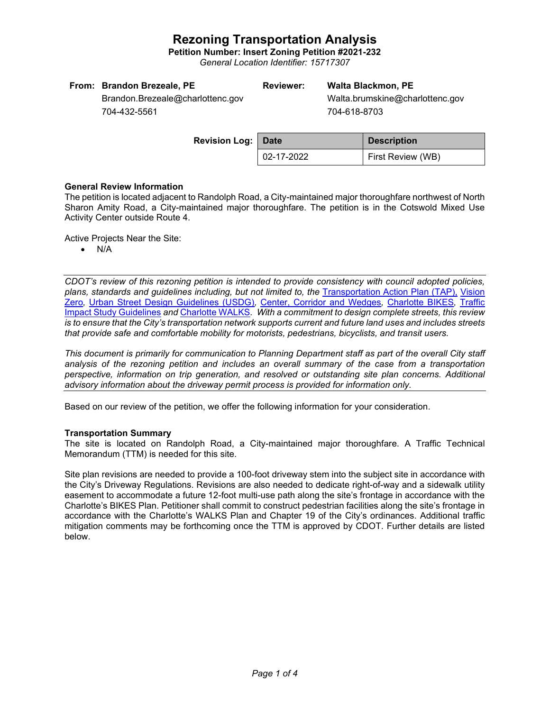# **Rezoning Transportation Analysis**

**Petition Number: Insert Zoning Petition #2021-232**

*General Location Identifier: 15717307*

| From: Brandon Brezeale, PE       | Reviewer: | Walta Blackmon, PE        |
|----------------------------------|-----------|---------------------------|
| Brandon.Brezeale@charlottenc.gov |           | Walta.brumskine@charlotte |
| _ _ _ _ _ _ _ .                  |           | __________                |

704-432-5561

enc.gov 704-618-8703

| <b>Revision Log: Date</b> |            | <b>Description</b> |  |
|---------------------------|------------|--------------------|--|
|                           | 02-17-2022 | First Review (WB)  |  |

# **General Review Information**

The petition is located adjacent to Randolph Road, a City-maintained major thoroughfare northwest of North Sharon Amity Road, a City-maintained major thoroughfare. The petition is in the Cotswold Mixed Use Activity Center outside Route 4.

Active Projects Near the Site:

• N/A

*CDOT's review of this rezoning petition is intended to provide consistency with council adopted policies, plans, standards and guidelines including, but not limited to, the* [Transportation Action Plan \(TAP\),](https://charlottenc.gov/Transportation/Programs/Pages/TransportationActionPlan.aspx) [Vision](https://charlottenc.gov/VisionZero/Pages/VisionZero.aspx)  [Zero](https://charlottenc.gov/VisionZero/Pages/VisionZero.aspx)*,* [Urban Street Design Guidelines \(USDG\)](https://charlottenc.gov/Transportation/PlansProjects/Documents/USDG%20Full%20Document.pdf)*,* [Center, Corridor and](http://ww.charmeck.org/Planning/Land%20Use%20Planning/CentersCorridorsWedges/CentersCorridorsWedges(Adopted).pdf) Wedges*,* [Charlotte BIKES](https://charlottenc.gov/Transportation/Programs/Pages/Bicycle.aspx)*,* [Traffic](https://charlottenc.gov/Transportation/Permits/Documents/TISProcessandGuildlines.pdf)  [Impact Study Guidelines](https://charlottenc.gov/Transportation/Permits/Documents/TISProcessandGuildlines.pdf) *and* [Charlotte WALKS](https://charlottenc.gov/Transportation/Programs/Pages/CharlotteWalks.aspx)*. With a commitment to design complete streets, this review is to ensure that the City's transportation network supports current and future land uses and includes streets that provide safe and comfortable mobility for motorists, pedestrians, bicyclists, and transit users.*

*This document is primarily for communication to Planning Department staff as part of the overall City staff analysis of the rezoning petition and includes an overall summary of the case from a transportation perspective, information on trip generation, and resolved or outstanding site plan concerns. Additional advisory information about the driveway permit process is provided for information only.*

Based on our review of the petition, we offer the following information for your consideration.

### **Transportation Summary**

The site is located on Randolph Road, a City-maintained major thoroughfare. A Traffic Technical Memorandum (TTM) is needed for this site.

Site plan revisions are needed to provide a 100-foot driveway stem into the subject site in accordance with the City's Driveway Regulations. Revisions are also needed to dedicate right-of-way and a sidewalk utility easement to accommodate a future 12-foot multi-use path along the site's frontage in accordance with the Charlotte's BIKES Plan. Petitioner shall commit to construct pedestrian facilities along the site's frontage in accordance with the Charlotte's WALKS Plan and Chapter 19 of the City's ordinances. Additional traffic mitigation comments may be forthcoming once the TTM is approved by CDOT. Further details are listed below.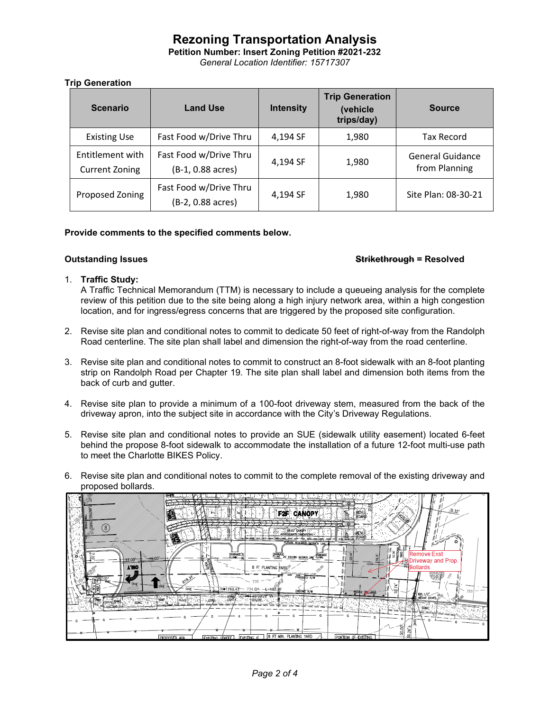# **Rezoning Transportation Analysis**

**Petition Number: Insert Zoning Petition #2021-232**

*General Location Identifier: 15717307*

# **Trip Generation**

| <b>Scenario</b>                           | <b>Land Use</b>                             | <b>Intensity</b> | <b>Trip Generation</b><br>(vehicle)<br>trips/day) | <b>Source</b>                            |
|-------------------------------------------|---------------------------------------------|------------------|---------------------------------------------------|------------------------------------------|
| <b>Existing Use</b>                       | Fast Food w/Drive Thru                      | 4.194 SF         | 1.980                                             | <b>Tax Record</b>                        |
| Entitlement with<br><b>Current Zoning</b> | Fast Food w/Drive Thru<br>(B-1, 0.88 acres) | 4,194 SF         | 1,980                                             | <b>General Guidance</b><br>from Planning |
| Proposed Zoning                           | Fast Food w/Drive Thru<br>(B-2, 0.88 acres) | 4,194 SF         | 1,980                                             | Site Plan: 08-30-21                      |

# **Provide comments to the specified comments below.**

# **Outstanding Issues Strikethrough = Resolved**

# 1. **Traffic Study:**

A Traffic Technical Memorandum (TTM) is necessary to include a queueing analysis for the complete review of this petition due to the site being along a high injury network area, within a high congestion location, and for ingress/egress concerns that are triggered by the proposed site configuration.

- 2. Revise site plan and conditional notes to commit to dedicate 50 feet of right-of-way from the Randolph Road centerline. The site plan shall label and dimension the right-of-way from the road centerline.
- 3. Revise site plan and conditional notes to commit to construct an 8-foot sidewalk with an 8-foot planting strip on Randolph Road per Chapter 19. The site plan shall label and dimension both items from the back of curb and gutter.
- 4. Revise site plan to provide a minimum of a 100-foot driveway stem, measured from the back of the driveway apron, into the subject site in accordance with the City's Driveway Regulations.
- 5. Revise site plan and conditional notes to provide an SUE (sidewalk utility easement) located 6-feet behind the propose 8-foot sidewalk to accommodate the installation of a future 12-foot multi-use path to meet the Charlotte BIKES Policy.
- 6. Revise site plan and conditional notes to commit to the complete removal of the existing driveway and proposed bollards.

| Š                                                   | н<br>F2F<br>흄                                                                                                                                                                                         |
|-----------------------------------------------------|-------------------------------------------------------------------------------------------------------------------------------------------------------------------------------------------------------|
| o                                                   | FRACT CANCER IT<br>VENU<br>Œ.<br>FUTURY RECUBED SETENCY UNE-<br><b>解</b><br><b>Remove Exst</b><br>DRAINAGE 3<br>TLINE 20" EXISTING SETBACK LINE FLUME.<br>TLINE 20" EXISTING SETBACK LINE FLUME.<br>₫ |
| $+6.00$<br>$12.00 -$<br><b>A'TNO</b><br><b>CHAT</b> | Boldeway and Prop.<br>Reported Bolderds<br>8 FT PLANTING MARGE®<br>PROBOGED R/W<br>$735 - 7$<br>×                                                                                                     |
| <b>Contract</b><br>$\mathcal{L}_{\mathcal{L}}$      | R=1789.43 <sup>*</sup><br>734 G4 - 1=492.98<br><b>Soldier</b><br>′≌<br><b>EXISTING R/W</b><br><b>MSTALL SOLUTION</b><br><b>JER 1/2</b><br>GEBAT (BENT)<br>192.89                                      |
|                                                     | 8<br>8<br>8 FT MIN. PLANTING YARD<br>PORTION OF-EXISTING<br><b>EXISTING</b><br>PROPOSED ADA<br><b>EXISTING STREET</b>                                                                                 |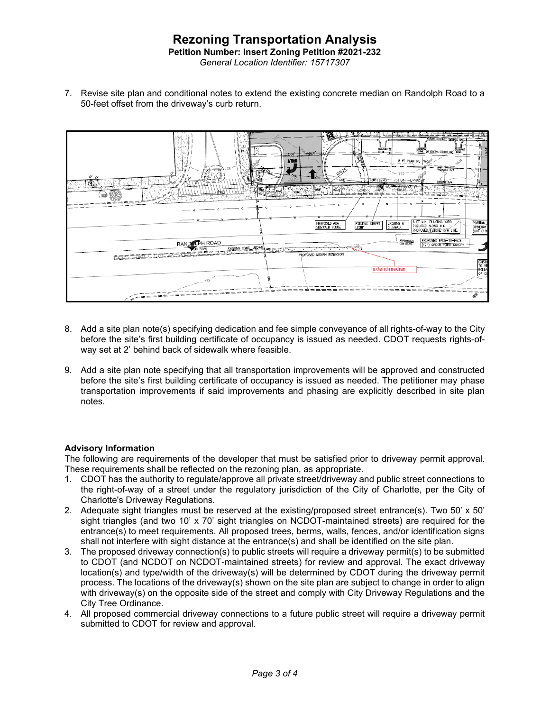# **Rezoning Transportation Analysis Petition Number: Insert Zoning Petition #2021-232** *General Location Identifier: 15717307*

7. Revise site plan and conditional notes to extend the existing concrete median on Randolph Road to a 50-feet offset from the driveway's curb return.



- 8. Add a site plan note(s) specifying dedication and fee simple conveyance of all rights-of-way to the City before the site's first building certificate of occupancy is issued as needed. CDOT requests rights-ofway set at 2' behind back of sidewalk where feasible.
- 9. Add a site plan note specifying that all transportation improvements will be approved and constructed before the site's first building certificate of occupancy is issued as needed. The petitioner may phase transportation improvements if said improvements and phasing are explicitly described in site plan notes.

# **Advisory Information**

The following are requirements of the developer that must be satisfied prior to driveway permit approval. These requirements shall be reflected on the rezoning plan, as appropriate.

- 1. CDOT has the authority to regulate/approve all private street/driveway and public street connections to the right-of-way of a street under the regulatory jurisdiction of the City of Charlotte, per the City of Charlotte's Driveway Regulations.
- 2. Adequate sight triangles must be reserved at the existing/proposed street entrance(s). Two 50' x 50' sight triangles (and two 10' x 70' sight triangles on NCDOT-maintained streets) are required for the entrance(s) to meet requirements. All proposed trees, berms, walls, fences, and/or identification signs shall not interfere with sight distance at the entrance(s) and shall be identified on the site plan.
- 3. The proposed driveway connection(s) to public streets will require a driveway permit(s) to be submitted to CDOT (and NCDOT on NCDOT-maintained streets) for review and approval. The exact driveway location(s) and type/width of the driveway(s) will be determined by CDOT during the driveway permit process. The locations of the driveway(s) shown on the site plan are subject to change in order to align with driveway(s) on the opposite side of the street and comply with City Driveway Regulations and the City Tree Ordinance.
- 4. All proposed commercial driveway connections to a future public street will require a driveway permit submitted to CDOT for review and approval.